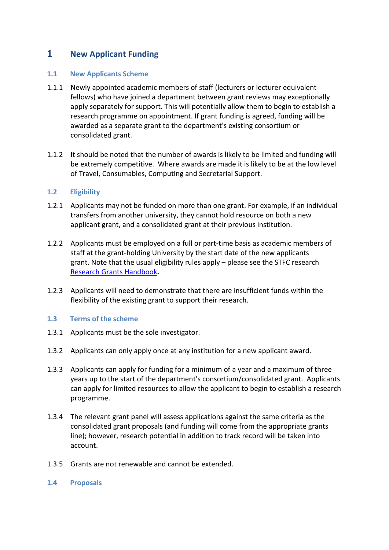## **1 New Applicant Funding**

## **1.1 New Applicants Scheme**

- 1.1.1 Newly appointed academic members of staff (lecturers or lecturer equivalent fellows) who have joined a department between grant reviews may exceptionally apply separately for support. This will potentially allow them to begin to establish a research programme on appointment. If grant funding is agreed, funding will be awarded as a separate grant to the department's existing consortium or consolidated grant.
- 1.1.2 It should be noted that the number of awards is likely to be limited and funding will be extremely competitive. Where awards are made it is likely to be at the low level of Travel, Consumables, Computing and Secretarial Support.

## **1.2 Eligibility**

- 1.2.1 Applicants may not be funded on more than one grant. For example, if an individual transfers from another university, they cannot hold resource on both a new applicant grant, and a consolidated grant at their previous institution.
- 1.2.2 Applicants must be employed on a full or part-time basis as academic members of staff at the grant-holding University by the start date of the new applicants grant. Note that the usual eligibility rules apply – please see the STFC research [Research Grants Handbook](http://www.stfc.ac.uk/research-grants-handbook/4-types-of-stfc-research-funding/#4.1.3)**.**
- 1.2.3 Applicants will need to demonstrate that there are insufficient funds within the flexibility of the existing grant to support their research.

## **1.3 Terms of the scheme**

- 1.3.1 Applicants must be the sole investigator.
- 1.3.2 Applicants can only apply once at any institution for a new applicant award.
- 1.3.3 Applicants can apply for funding for a minimum of a year and a maximum of three years up to the start of the department's consortium/consolidated grant. Applicants can apply for limited resources to allow the applicant to begin to establish a research programme.
- 1.3.4 The relevant grant panel will assess applications against the same criteria as the consolidated grant proposals (and funding will come from the appropriate grants line); however, research potential in addition to track record will be taken into account.
- 1.3.5 Grants are not renewable and cannot be extended.
- **1.4 Proposals**